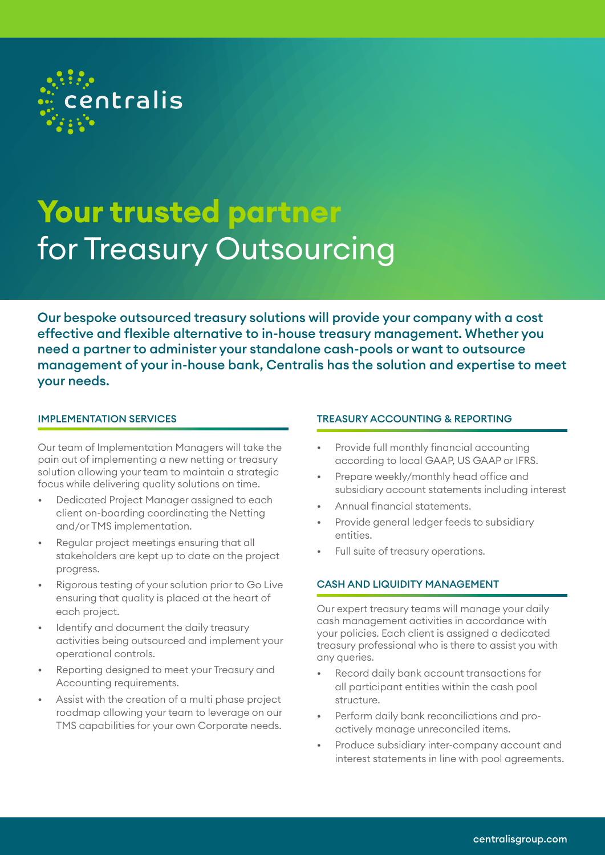

# **Your trusted partner** for Treasury Outsourcing

Our bespoke outsourced treasury solutions will provide your company with a cost effective and flexible alternative to in-house treasury management. Whether you need a partner to administer your standalone cash-pools or want to outsource management of your in-house bank, Centralis has the solution and expertise to meet your needs.

#### IMPLEMENTATION SERVICES

Our team of Implementation Managers will take the pain out of implementing a new netting or treasury solution allowing your team to maintain a strategic focus while delivering quality solutions on time.

- Dedicated Project Manager assigned to each client on-boarding coordinating the Netting and/or TMS implementation.
- Regular project meetings ensuring that all stakeholders are kept up to date on the project progress.
- Rigorous testing of your solution prior to Go Live ensuring that quality is placed at the heart of each project.
- Identify and document the daily treasury activities being outsourced and implement your operational controls.
- Reporting designed to meet your Treasury and Accounting requirements.
- Assist with the creation of a multi phase project roadmap allowing your team to leverage on our TMS capabilities for your own Corporate needs.

#### TREASURY ACCOUNTING & REPORTING

- Provide full monthly financial accounting according to local GAAP, US GAAP or IFRS.
- Prepare weekly/monthly head office and subsidiary account statements including interest
- Annual financial statements.
- Provide general ledger feeds to subsidiary entities.
- Full suite of treasury operations.

## CASH AND LIQUIDITY MANAGEMENT

Our expert treasury teams will manage your daily cash management activities in accordance with your policies. Each client is assigned a dedicated treasury professional who is there to assist you with any queries.

- Record daily bank account transactions for all participant entities within the cash pool structure.
- Perform daily bank reconciliations and proactively manage unreconciled items.
- Produce subsidiary inter-company account and interest statements in line with pool agreements.